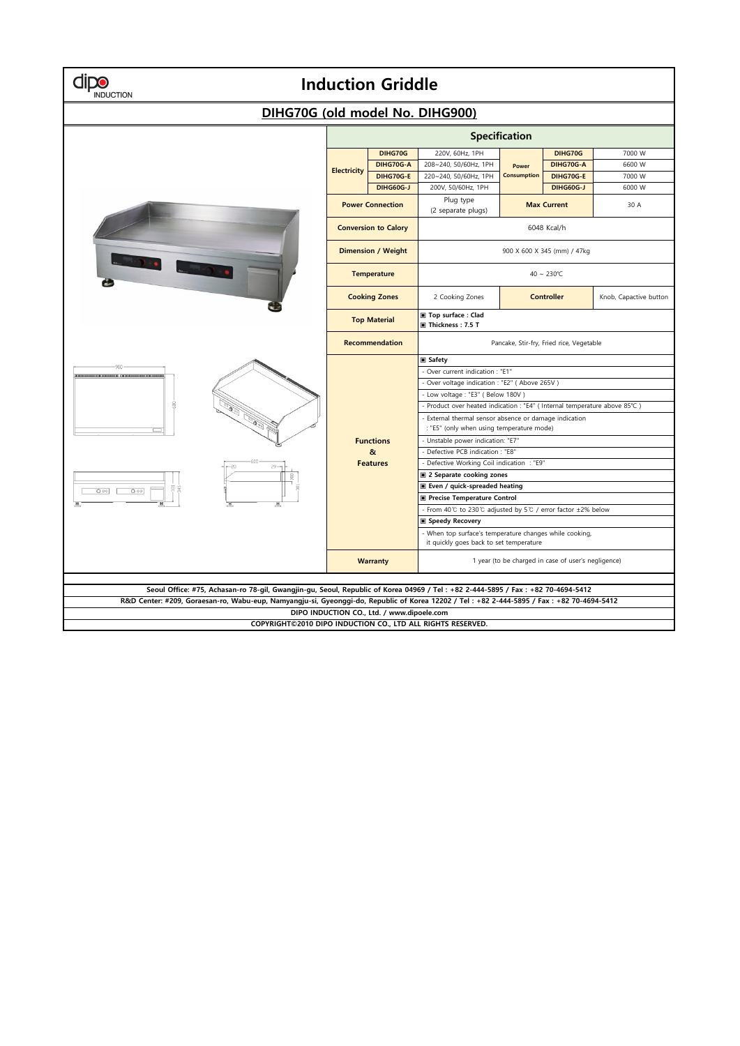| <b>Induction Griddle</b><br>NDUCTION                                                                                                                                                                                                                                         |                             |                                                                                                                                                                                                                                                                                                                                                                                                                                 |                                                                                         |                             |                                                                                                                                                                                                                                                                                                                                                                                                                        |                                      |  |  |  |  |  |
|------------------------------------------------------------------------------------------------------------------------------------------------------------------------------------------------------------------------------------------------------------------------------|-----------------------------|---------------------------------------------------------------------------------------------------------------------------------------------------------------------------------------------------------------------------------------------------------------------------------------------------------------------------------------------------------------------------------------------------------------------------------|-----------------------------------------------------------------------------------------|-----------------------------|------------------------------------------------------------------------------------------------------------------------------------------------------------------------------------------------------------------------------------------------------------------------------------------------------------------------------------------------------------------------------------------------------------------------|--------------------------------------|--|--|--|--|--|
| DIHG70G (old model No. DIHG900)                                                                                                                                                                                                                                              |                             |                                                                                                                                                                                                                                                                                                                                                                                                                                 |                                                                                         |                             |                                                                                                                                                                                                                                                                                                                                                                                                                        |                                      |  |  |  |  |  |
|                                                                                                                                                                                                                                                                              | Specification               |                                                                                                                                                                                                                                                                                                                                                                                                                                 |                                                                                         |                             |                                                                                                                                                                                                                                                                                                                                                                                                                        |                                      |  |  |  |  |  |
|                                                                                                                                                                                                                                                                              | <b>Electricity</b>          | DIHG70G<br>DIHG70G-A<br>DIHG70G-E<br><b>DIHG60G-J</b>                                                                                                                                                                                                                                                                                                                                                                           | 220V, 60Hz, 1PH<br>208~240, 50/60Hz, 1PH<br>220~240, 50/60Hz, 1PH<br>200V, 50/60Hz, 1PH | Power<br><b>Consumption</b> | DIHG70G<br>DIHG70G-A<br>DIHG70G-E<br><b>DIHG60G-J</b>                                                                                                                                                                                                                                                                                                                                                                  | 7000 W<br>6600 W<br>7000 W<br>6000 W |  |  |  |  |  |
|                                                                                                                                                                                                                                                                              | <b>Power Connection</b>     |                                                                                                                                                                                                                                                                                                                                                                                                                                 | Plug type<br>(2 separate plugs)                                                         | <b>Max Current</b>          |                                                                                                                                                                                                                                                                                                                                                                                                                        | 30 A                                 |  |  |  |  |  |
|                                                                                                                                                                                                                                                                              | <b>Conversion to Calory</b> |                                                                                                                                                                                                                                                                                                                                                                                                                                 | 6048 Kcal/h                                                                             |                             |                                                                                                                                                                                                                                                                                                                                                                                                                        |                                      |  |  |  |  |  |
|                                                                                                                                                                                                                                                                              | <b>Dimension / Weight</b>   |                                                                                                                                                                                                                                                                                                                                                                                                                                 | 900 X 600 X 345 (mm) / 47kg                                                             |                             |                                                                                                                                                                                                                                                                                                                                                                                                                        |                                      |  |  |  |  |  |
|                                                                                                                                                                                                                                                                              | <b>Temperature</b>          |                                                                                                                                                                                                                                                                                                                                                                                                                                 | 40 ~ 230°C                                                                              |                             |                                                                                                                                                                                                                                                                                                                                                                                                                        |                                      |  |  |  |  |  |
|                                                                                                                                                                                                                                                                              |                             | <b>Cooking Zones</b>                                                                                                                                                                                                                                                                                                                                                                                                            | 2 Cooking Zones                                                                         | <b>Controller</b>           |                                                                                                                                                                                                                                                                                                                                                                                                                        | Knob, Capactive button               |  |  |  |  |  |
| ε<br>000<br>$O^{\circ}$                                                                                                                                                                                                                                                      | <b>Top Material</b>         |                                                                                                                                                                                                                                                                                                                                                                                                                                 | ■ Top surface : Clad<br>Thickness: 7.5 T                                                |                             |                                                                                                                                                                                                                                                                                                                                                                                                                        |                                      |  |  |  |  |  |
|                                                                                                                                                                                                                                                                              | <b>Recommendation</b>       |                                                                                                                                                                                                                                                                                                                                                                                                                                 | Pancake, Stir-fry, Fried rice, Vegetable                                                |                             |                                                                                                                                                                                                                                                                                                                                                                                                                        |                                      |  |  |  |  |  |
|                                                                                                                                                                                                                                                                              | <b>Warranty</b>             | <b>■ Safety</b><br>- Over current indication : "E1"<br>- Low voltage : "E3" ( Below 180V )<br><b>Functions</b><br>- Unstable power indication: "E7"<br>$\alpha$<br>Defective PCB indication : "E8"<br>- Defective Working Coil indication : "E9"<br><b>Features</b><br>2 Separate cooking zones<br>Even / quick-spreaded heating<br>Precise Temperature Control<br>■ Speedy Recovery<br>it quickly goes back to set temperature |                                                                                         |                             | Over voltage indication : "E2" ( Above 265V )<br>- Product over heated indication : "E4" ( Internal temperature above 85°C )<br>- External thermal sensor absence or damage indication<br>: "E5" (only when using temperature mode)<br>- From 40°C to 230°C adjusted by 5°C / error factor ±2% below<br>- When top surface's temperature changes while cooking,<br>1 year (to be charged in case of user's negligence) |                                      |  |  |  |  |  |
|                                                                                                                                                                                                                                                                              |                             |                                                                                                                                                                                                                                                                                                                                                                                                                                 |                                                                                         |                             |                                                                                                                                                                                                                                                                                                                                                                                                                        |                                      |  |  |  |  |  |
| Seoul Office: #75, Achasan-ro 78-gil, Gwangjin-gu, Seoul, Republic of Korea 04969 / Tel: +82 2-444-5895 / Fax: +82 70-4694-5412<br>R&D Center: #209, Goraesan-ro, Wabu-eup, Namyangju-si, Gyeonggi-do, Republic of Korea 12202 / Tel: +82 2-444-5895 / Fax: +82 70-4694-5412 |                             |                                                                                                                                                                                                                                                                                                                                                                                                                                 |                                                                                         |                             |                                                                                                                                                                                                                                                                                                                                                                                                                        |                                      |  |  |  |  |  |
| DIPO INDUCTION CO., Ltd. / www.dipoele.com                                                                                                                                                                                                                                   |                             |                                                                                                                                                                                                                                                                                                                                                                                                                                 |                                                                                         |                             |                                                                                                                                                                                                                                                                                                                                                                                                                        |                                      |  |  |  |  |  |
| COPYRIGHT©2010 DIPO INDUCTION CO., LTD ALL RIGHTS RESERVED.                                                                                                                                                                                                                  |                             |                                                                                                                                                                                                                                                                                                                                                                                                                                 |                                                                                         |                             |                                                                                                                                                                                                                                                                                                                                                                                                                        |                                      |  |  |  |  |  |